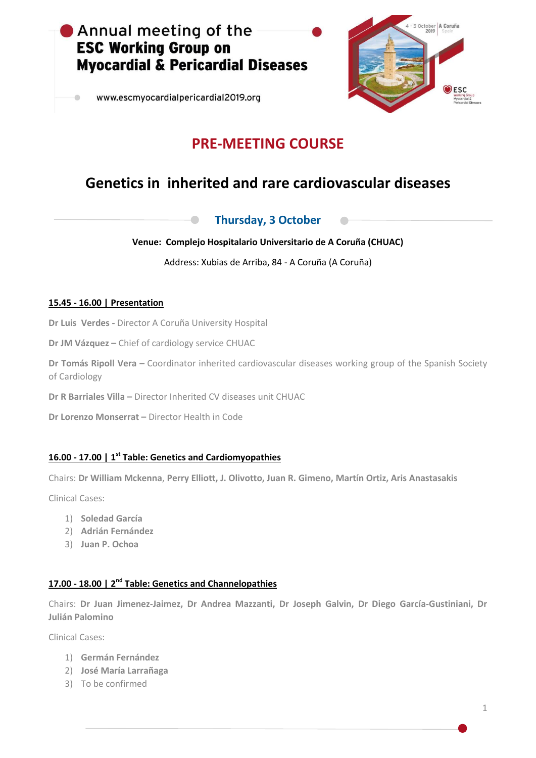

www.escmyocardialpericardial2019.org



# **PRE-MEETING COURSE**

# **Genetics in inherited and rare cardiovascular diseases**

### **Thursday, 3 October**

#### **Venue: Complejo Hospitalario Universitario de A Coruña (CHUAC)**

Address: Xubias de Arriba, 84 - A Coruña (A Coruña)

#### **15.45 - 16.00 | Presentation**

**Dr Luis Verdes -** Director A Coruña University Hospital

**Dr JM Vázquez –** Chief of cardiology service CHUAC

**Dr Tomás Ripoll Vera – Coordinator inherited cardiovascular diseases working group of the Spanish Society** of Cardiology

**Dr R Barriales Villa –** Director Inherited CV diseases unit CHUAC

**Dr Lorenzo Monserrat –** Director Health in Code

### **16.00 - 17.00 | 1 st Table: Genetics and Cardiomyopathies**

Chairs: **Dr William Mckenna**, **Perry Elliott, J. Olivotto, Juan R. Gimeno, Martín Ortiz, Aris Anastasakis**

Clinical Cases:

- 1) **Soledad García**
- 2) **Adrián Fernández**
- 3) **Juan P. Ochoa**

### **17.00 - 18.00 | 2 nd Table: Genetics and Channelopathies**

Chairs: **Dr Juan Jimenez-Jaimez, Dr Andrea Mazzanti, Dr Joseph Galvin, Dr Diego García-Gustiniani, Dr Julián Palomino**

Clinical Cases:

- 1) **Germán Fernández**
- 2) **José María Larrañaga**
- 3) To be confirmed